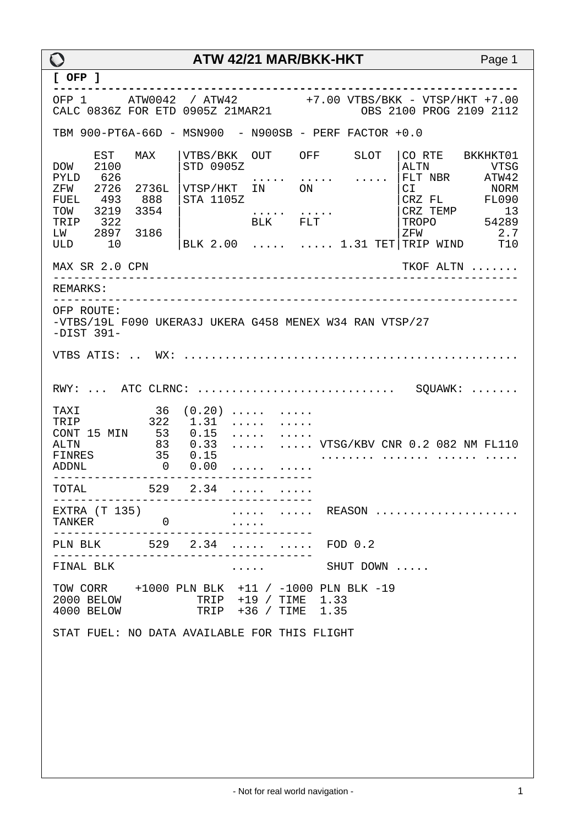| $\bigcirc$                                                                                                                             |                                                                                    | ATW 42/21 MAR/BKK-HKT                                                 |                                                         | Page 1                                                                                                                                                                          |  |
|----------------------------------------------------------------------------------------------------------------------------------------|------------------------------------------------------------------------------------|-----------------------------------------------------------------------|---------------------------------------------------------|---------------------------------------------------------------------------------------------------------------------------------------------------------------------------------|--|
| $[$ OFP $]$                                                                                                                            |                                                                                    | . _ _ _ _ _ _ _ _ _ _ _ _ _ .                                         |                                                         |                                                                                                                                                                                 |  |
|                                                                                                                                        |                                                                                    |                                                                       |                                                         | OFP 1 ATW0042 / ATW42 +7.00 VTBS/BKK - VTSP/HKT +7.00<br>CALC 0836Z FOR ETD 0905Z 21MAR21 0BS 2100 PROG 2109 2112                                                               |  |
|                                                                                                                                        |                                                                                    |                                                                       | TBM 900-PT6A-66D - MSN900 - N900SB - PERF FACTOR +0.0   |                                                                                                                                                                                 |  |
| EST<br>2100<br><b>DOW</b><br>626<br>PYLD<br>2726<br>ZFW<br>493<br><b>FUEL</b><br>TOW<br>3219<br>322<br>TRIP<br>LW<br>2897<br>10<br>ULD | MAX<br>STD 0905Z<br>2736L<br>888<br>STA 1105Z<br>3354<br>3186                      | VTBS/BKK OUT OFF<br>VTSP/HKT IN ON<br>BLK FLT                         | SLOT                                                    | CO RTE BKKHKT01<br>ALTN<br>VTSG<br>FLT NBR ATW42<br>C1<br>NORM<br>CRZ FL<br><b>FL090</b><br>CRZ TEMP<br>13<br>54289<br>TROPO<br>2.7<br>ZFW<br>BLK 2.00   1.31 TET TRIP WIND T10 |  |
| MAX SR 2.0 CPN                                                                                                                         |                                                                                    |                                                                       |                                                         | TKOF ALTN                                                                                                                                                                       |  |
| REMARKS:                                                                                                                               |                                                                                    |                                                                       |                                                         |                                                                                                                                                                                 |  |
| OFP ROUTE:<br>$-DIST 391-$                                                                                                             |                                                                                    |                                                                       | -VTBS/19L F090 UKERA3J UKERA G458 MENEX W34 RAN VTSP/27 |                                                                                                                                                                                 |  |
| $RWY:$ ATC CLRNC:  SQUAWK:                                                                                                             |                                                                                    |                                                                       |                                                         |                                                                                                                                                                                 |  |
| TAXI<br>TRIP<br>CONT 15 MIN<br><b>ALTN</b><br>FINRES<br>ADDNL                                                                          | 36<br>$1.31$<br>$0.15$<br>322<br>53<br>83<br>0.33<br>35<br>0.15<br>$0 \qquad 0.00$ | $(0.20)$<br>$\cdots$<br>$\cdot \cdot \cdot \cdot$                     |                                                         | VTSG/KBV CNR 0.2 082 NM FL110                                                                                                                                                   |  |
| ______________<br>TOTAL<br>529                                                                                                         |                                                                                    | 2.34                                                                  |                                                         |                                                                                                                                                                                 |  |
| EXTRA (T 135)<br>TANKER 0                                                                                                              | ----------------------------                                                       |                                                                       |                                                         | REASON                                                                                                                                                                          |  |
| PLN BLK 529 2.34   FOD 0.2                                                                                                             | ___________________________________                                                |                                                                       |                                                         |                                                                                                                                                                                 |  |
| FINAL BLK                                                                                                                              |                                                                                    | $\mathbf{r}$ , and $\mathbf{r}$ , and $\mathbf{r}$ , and $\mathbf{r}$ | SHUT DOWN                                               |                                                                                                                                                                                 |  |
| 2000 BELOW<br>4000 BELOW                                                                                                               |                                                                                    | TRIP +19 / TIME 1.33<br>TRIP +36 / TIME 1.35                          | TOW CORR +1000 PLN BLK +11 / -1000 PLN BLK -19          |                                                                                                                                                                                 |  |
| STAT FUEL: NO DATA AVAILABLE FOR THIS FLIGHT                                                                                           |                                                                                    |                                                                       |                                                         |                                                                                                                                                                                 |  |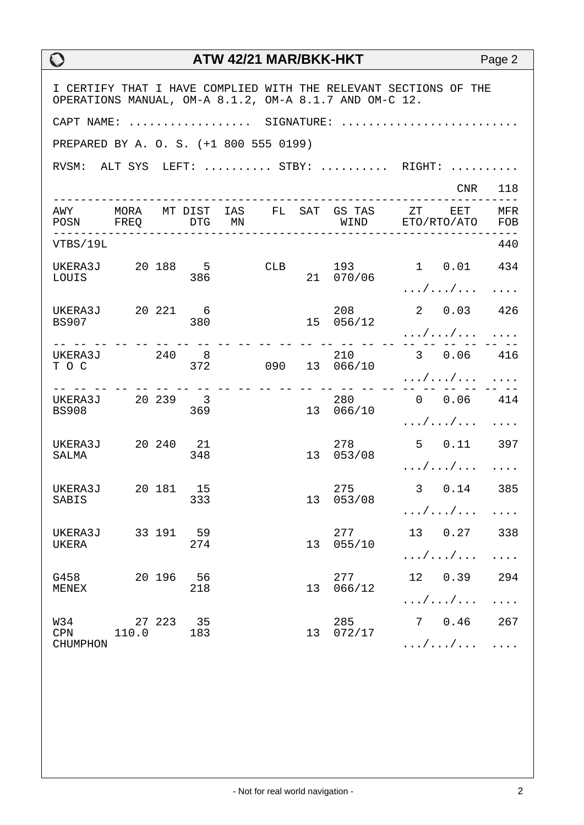| I CERTIFY THAT I HAVE COMPLIED WITH THE RELEVANT SECTIONS OF THE<br>OPERATIONS MANUAL, OM-A 8.1.2, OM-A 8.1.7 AND OM-C 12. |                    |  |                  |     |     |    |                  |                                                                 |            |
|----------------------------------------------------------------------------------------------------------------------------|--------------------|--|------------------|-----|-----|----|------------------|-----------------------------------------------------------------|------------|
| CAPT NAME:  SIGNATURE:                                                                                                     |                    |  |                  |     |     |    |                  |                                                                 |            |
| PREPARED BY A. O. S. (+1 800 555 0199)                                                                                     |                    |  |                  |     |     |    |                  |                                                                 |            |
|                                                                                                                            |                    |  |                  |     |     |    |                  | RVSM: ALT SYS LEFT:  STBY:  RIGHT:                              |            |
|                                                                                                                            |                    |  |                  |     |     |    |                  |                                                                 | CNR 118    |
| POSN FREQ DTG MN                                                                                                           |                    |  |                  |     |     |    |                  | AWY MORA MTDIST IAS FL SAT GSTAS ZT EET<br>WIND ETO/RTO/ATO FOB | MFR        |
| VTBS/19L                                                                                                                   |                    |  |                  |     |     |    |                  |                                                                 | 440        |
| UKERA3J 20 188 5<br>LOUIS                                                                                                  |                    |  | 386              |     | CLB |    | 193<br>21 070/06 | 1 0.01 434                                                      |            |
|                                                                                                                            |                    |  |                  |     |     |    |                  | . / /                                                           |            |
| UKERA3J 20 221 6<br><b>BS907</b>                                                                                           |                    |  | 380              |     |     |    | 208<br>15 056/12 | 2 0.03 426                                                      |            |
|                                                                                                                            |                    |  |                  |     |     |    |                  | . / /                                                           |            |
| UKERA3J 240 8<br>T O C                                                                                                     |                    |  |                  | 372 |     |    | 090 13 066/10    | 210 3 0.06 416                                                  |            |
|                                                                                                                            |                    |  |                  |     |     |    |                  | . / /                                                           |            |
| UKERA3J 20 239 3<br><b>BS908</b>                                                                                           |                    |  | 369              |     |     |    | 13 066/10        | 280 0 0.06 414                                                  |            |
|                                                                                                                            |                    |  |                  |     |     |    |                  | $\ldots/\ldots/\ldots$                                          |            |
| UKERA3J 20 240 21<br>SALMA                                                                                                 |                    |  | 348              |     |     |    | 278<br>13 053/08 | 5  0.11  397                                                    |            |
|                                                                                                                            |                    |  |                  |     |     |    |                  | $\ldots/\ldots/\ldots$                                          | $\cdots$   |
| UKERA3J 20 181 15<br>SABIS                                                                                                 |                    |  | 333              |     |     |    | 275<br>13 053/08 | 3 0.14 385                                                      |            |
|                                                                                                                            |                    |  |                  |     |     |    |                  | $\ldots/\ldots/\ldots$                                          | .          |
| UKERA3J<br>UKERA                                                                                                           |                    |  | 33 191 59<br>274 |     |     | 13 | 277<br>055/10    | 13 0.27 338                                                     |            |
|                                                                                                                            |                    |  |                  |     |     |    |                  | $\ldots/\ldots/\ldots$                                          | $\ddots$ . |
| G458<br>MENEX                                                                                                              |                    |  | 20 196 56<br>218 |     |     | 13 | 277<br>066/12    | 12 0.39 294                                                     |            |
|                                                                                                                            |                    |  |                  |     |     |    |                  | $\ldots/\ldots/\ldots$                                          | $\ldots$ . |
| W34<br><b>CPN</b>                                                                                                          | 27 223 35<br>110.0 |  | 183              |     |     | 13 | 285<br>072/17    | 7 0.46 267                                                      |            |
| <b>CHUMPHON</b>                                                                                                            |                    |  |                  |     |     |    |                  | $\ldots / \ldots / \ldots$                                      |            |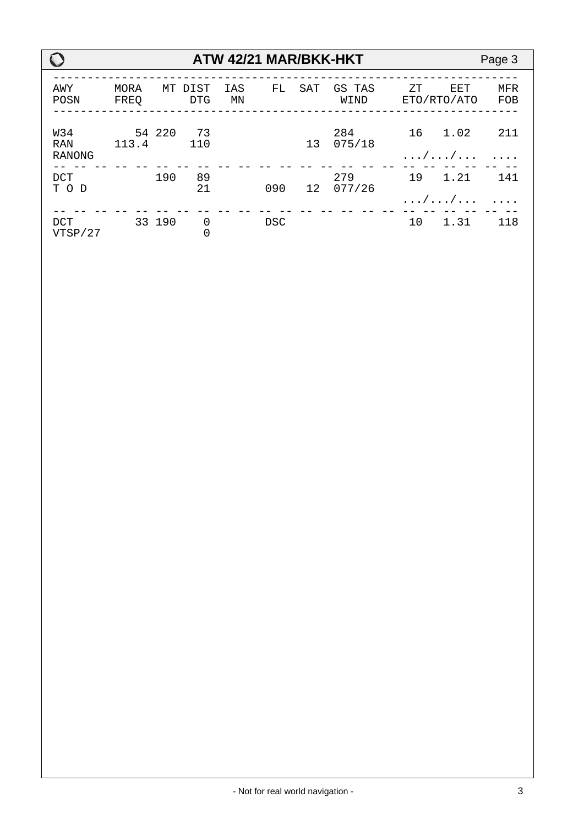|                                    |              |        |                    |           |            |     | ATW 42/21 MAR/BKK-HKT |    |                    | Page 3            |
|------------------------------------|--------------|--------|--------------------|-----------|------------|-----|-----------------------|----|--------------------|-------------------|
| AWY<br>POSN                        | MORA<br>FREO | МT     | DIST<br><b>DTG</b> | IAS<br>ΜN | FL         | SAT | GS TAS<br>WIND        | ΖT | EET<br>ETO/RTO/ATO | <b>MFR</b><br>FOB |
| W34<br><b>RAN</b><br><b>RANONG</b> | 113.4        | 54 220 | 73<br>110          |           |            | 13  | 284<br>075/18         | 16 | 1.02<br>. / /      | 211               |
| <b>DCT</b><br>T O D                |              | 190    | 89<br>21           |           | 090        | 12  | 279<br>077/26         | 19 | 1.21<br>. / /      | 141               |
| <b>DCT</b><br>VTSP/27              |              | 33 190 | 0<br>0             |           | <b>DSC</b> |     |                       | 10 | 1.31               | 118               |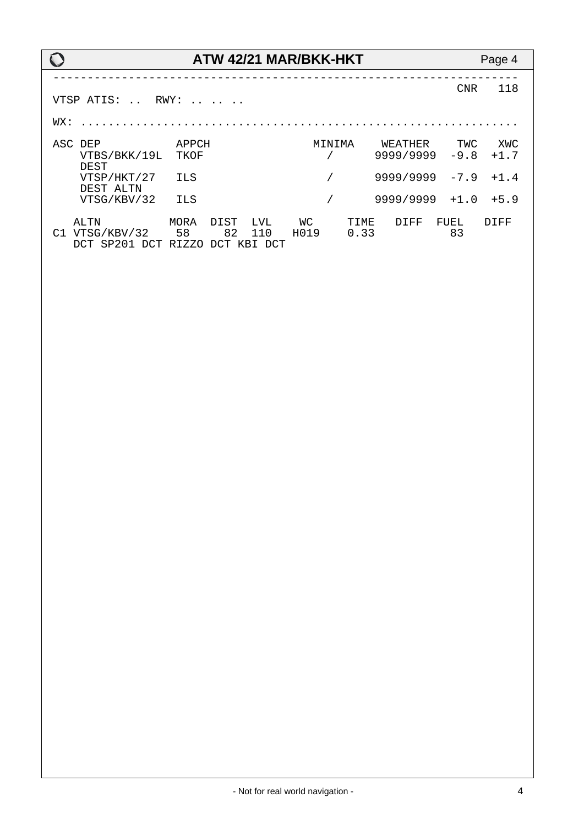### **ATW 42/21 MAR/BKK-HKT** Page 4 -------------------------------------------------------------------- CNR 118 VTSP ATIS: .. RWY: .. .. .. WX: ................................................................ ASC DEP APPCH MINIMA WEATHER TWC XWC  $9999/99999 - 9.8 +1.7$ DEST<br>VTSP/HKT/27 ILS  $\frac{1}{2}$  9999/9999 -7.9 +1.4 DEST ALTN<br>VTSG/KBV/32 ILS  $\frac{1}{10}$  9999/9999 +1.0 +5.9 ALTN MORA DIST LVL WC TIME DIFF FUEL DIFF C1 VTSG/KBV/32 58 82 110 H019 0.33 83 DCT SP201 DCT RIZZO DCT KBI DCT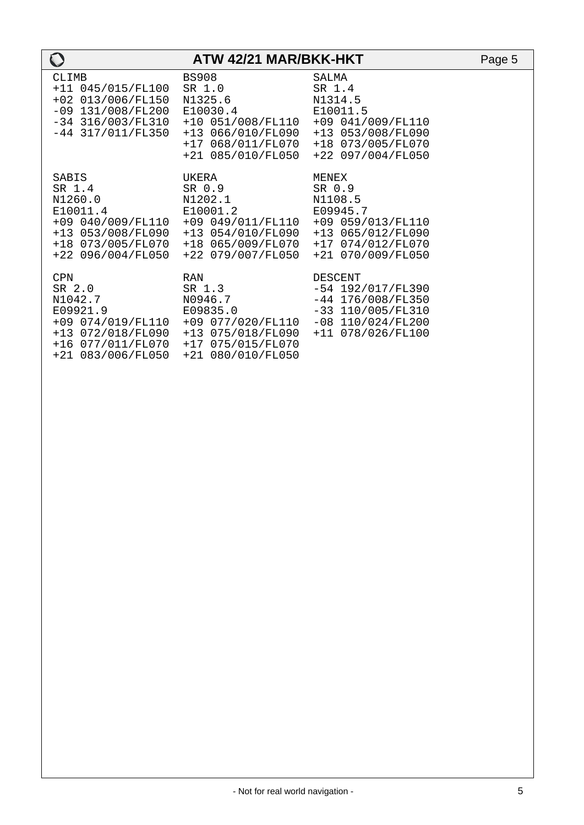| $\bf{O}$                                                                                                                    | ATW 42/21 MAR/BKK-HKT                                                                                                                                                                  |                                                                                                                          | Page 5 |
|-----------------------------------------------------------------------------------------------------------------------------|----------------------------------------------------------------------------------------------------------------------------------------------------------------------------------------|--------------------------------------------------------------------------------------------------------------------------|--------|
| <b>CLIMB</b><br>+11 045/015/FL100<br>+02 013/006/FL150<br>$-09$ 131/008/FL200<br>$-34$ 316/003/FL310<br>$-44$ 317/011/FL350 | <b>BS908</b><br>SR 1.0<br>N1325.6<br>E10030.4<br>+10 051/008/FL110 +09 041/009/FL110<br>+13 066/010/FL090<br>+17 068/011/FL070<br>+21 085/010/FL050                                    | SALMA<br>SR 1.4<br>N1314.5<br>E10011.5<br>+13 053/008/FL090<br>+18 073/005/FL070<br>+22 097/004/FL050                    |        |
| SABIS<br>SR 1.4<br>N1260.0<br>E10011.4<br>+18 073/005/FL070<br>$+22$ 096/004/FL050                                          | UKERA<br>SR 0.9<br>N1202.1<br>E10001.2<br>$+09$ 040/009/FL110 $+09$ 049/011/FL110 $+09$ 059/013/FL110<br>+13 053/008/FL090 +13 054/010/FL090<br>+18 065/009/FL070<br>+22 079/007/FL050 | MENEX<br>SR 0.9<br>N1108.5<br>E09945.7<br>+13 065/012/FL090<br>+17 074/012/FL070<br>+21 070/009/FL050                    |        |
| <b>CPN</b><br>SR 2.0<br>N1042.7<br>E09921.9<br>+21 083/006/FL050                                                            | <b>RAN</b><br>SR 1.3<br>N0946.7<br>E09835.0<br>+09 074/019/FL110 +09 077/020/FL110<br>+13 072/018/FL090 +13 075/018/FL090<br>+16 077/011/FL070 +17 075/015/FL070<br>+21 080/010/FL050  | DESCENT<br>$-54$ 192/017/FL390<br>$-44$ 176/008/FL350<br>$-33$ 110/005/FL310<br>$-08$ 110/024/FL200<br>+11 078/026/FL100 |        |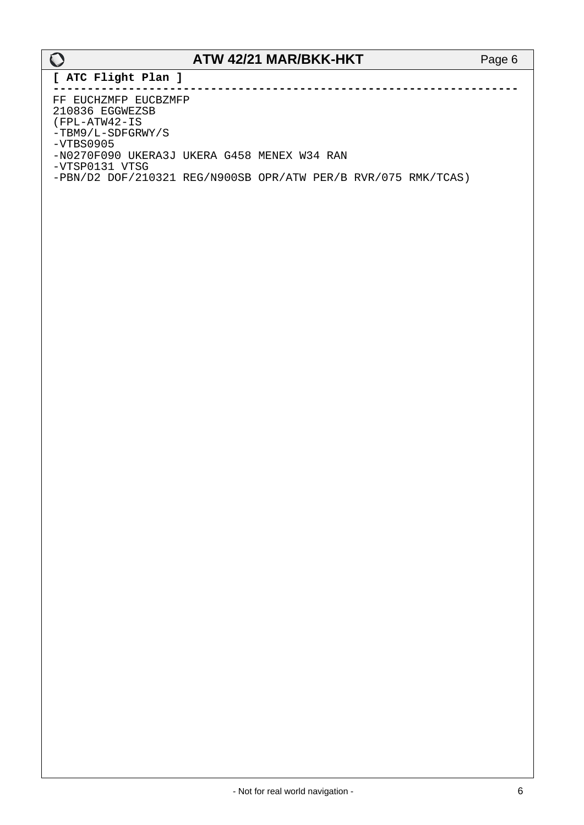**[ ATC Flight Plan ]**

**--------------------------------------------------------------------** FF EUCHZMFP EUCBZMFP 210836 EGGWEZSB (FPL-ATW42-IS -TBM9/L-SDFGRWY/S -VTBS0905 -N0270F090 UKERA3J UKERA G458 MENEX W34 RAN -VTSP0131 VTSG -PBN/D2 DOF/210321 REG/N900SB OPR/ATW PER/B RVR/075 RMK/TCAS)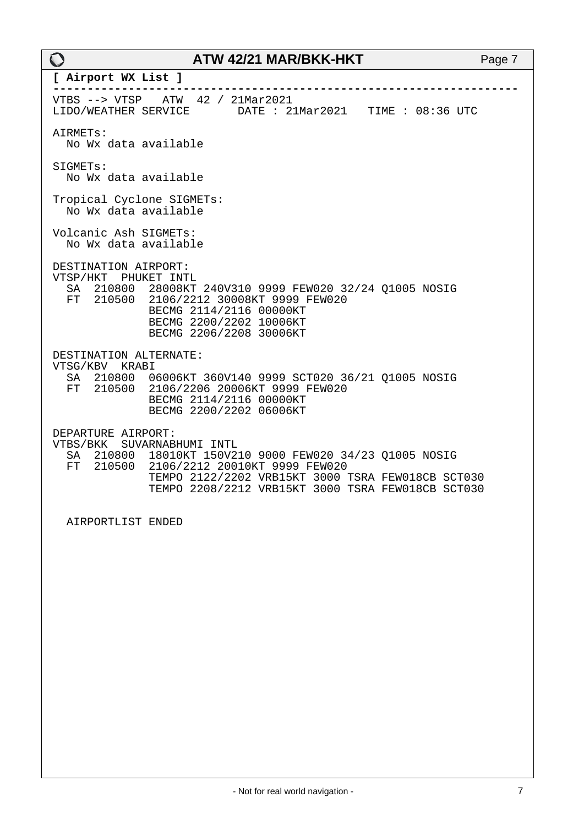| $\bigcirc$                                               | ATW 42/21 MAR/BKK-HKT                                                                                                                                                                                                  | Page 7 |
|----------------------------------------------------------|------------------------------------------------------------------------------------------------------------------------------------------------------------------------------------------------------------------------|--------|
| [ Airport WX List ]                                      |                                                                                                                                                                                                                        |        |
| LIDO/WEATHER SERVICE                                     | VTBS --> VTSP ATW 42 / 21Mar2021<br>DATE : 21Mar2021 TIME : 08:36 UTC                                                                                                                                                  |        |
| AIRMETS:<br>No Wx data available                         |                                                                                                                                                                                                                        |        |
| SIGMETs:<br>No Wx data available                         |                                                                                                                                                                                                                        |        |
| Tropical Cyclone SIGMETs:<br>No Wx data available        |                                                                                                                                                                                                                        |        |
| Volcanic Ash SIGMETs:<br>No Wx data available            |                                                                                                                                                                                                                        |        |
| DESTINATION AIRPORT:<br>VTSP/HKT PHUKET INTL             | SA 210800 28008KT 240V310 9999 FEW020 32/24 Q1005 NOSIG<br>FT 210500 2106/2212 30008KT 9999 FEW020<br>BECMG 2114/2116 00000KT<br>BECMG 2200/2202 10006KT<br>BECMG 2206/2208 30006KT                                    |        |
| DESTINATION ALTERNATE:<br>VTSG/KBV KRABI<br>FT<br>210500 | SA 210800 06006KT 360V140 9999 SCT020 36/21 Q1005 NOSIG<br>2106/2206 20006KT 9999 FEW020<br>BECMG 2114/2116 00000KT<br>BECMG 2200/2202 06006KT                                                                         |        |
| DEPARTURE AIRPORT:<br>210800<br>SA<br>FT<br>210500       | VTBS/BKK SUVARNABHUMI INTL<br>18010KT 150V210 9000 FEW020 34/23 01005 NOSIG<br>2106/2212 20010KT 9999 FEW020<br>TEMPO 2122/2202 VRB15KT 3000 TSRA FEW018CB SCT030<br>TEMPO 2208/2212 VRB15KT 3000 TSRA FEW018CB SCT030 |        |
| AIRPORTLIST ENDED                                        |                                                                                                                                                                                                                        |        |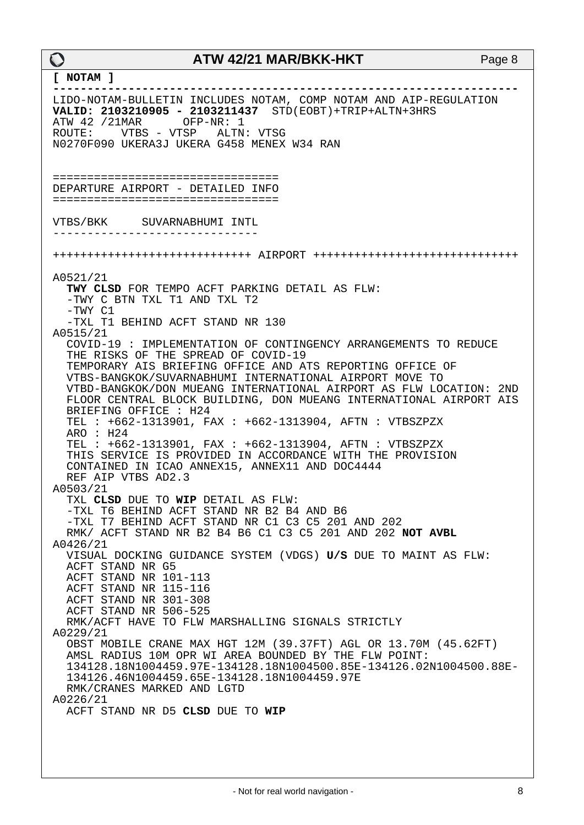#### **[ NOTAM ]**

**--------------------------------------------------------------------** LIDO-NOTAM-BULLETIN INCLUDES NOTAM, COMP NOTAM AND AIP-REGULATION **VALID: 2103210905 - 2103211437** STD(EOBT)+TRIP+ALTN+3HRS ATW 42 /21MAR OFP-NR: 1<br>ROUTE: VTBS - VTSP ALTN ROUTE: VTBS - VTSP ALTN: VTSG N0270F090 UKERA3J UKERA G458 MENEX W34 RAN ================================= DEPARTURE AIRPORT - DETAILED INFO ================================= VTBS/BKK SUVARNABHUMI INTL ------------------------------ +++++++++++++++++++++++++++++ AIRPORT ++++++++++++++++++++++++++++++ A0521/21 **TWY CLSD** FOR TEMPO ACFT PARKING DETAIL AS FLW: -TWY C BTN TXL T1 AND TXL T2 -TWY C1 -TXL T1 BEHIND ACFT STAND NR 130 A0515/21 COVID-19 : IMPLEMENTATION OF CONTINGENCY ARRANGEMENTS TO REDUCE THE RISKS OF THE SPREAD OF COVID-19 TEMPORARY AIS BRIEFING OFFICE AND ATS REPORTING OFFICE OF VTBS-BANGKOK/SUVARNABHUMI INTERNATIONAL AIRPORT MOVE TO VTBD-BANGKOK/DON MUEANG INTERNATIONAL AIRPORT AS FLW LOCATION: 2ND FLOOR CENTRAL BLOCK BUILDING, DON MUEANG INTERNATIONAL AIRPORT AIS BRIEFING OFFICE : H24 TEL : +662-1313901, FAX : +662-1313904, AFTN : VTBSZPZX ARO : H24 TEL : +662-1313901, FAX : +662-1313904, AFTN : VTBSZPZX THIS SERVICE IS PROVIDED IN ACCORDANCE WITH THE PROVISION CONTAINED IN ICAO ANNEX15, ANNEX11 AND DOC4444 REF AIP VTBS AD2.3 A0503/21 TXL **CLSD** DUE TO **WIP** DETAIL AS FLW: -TXL T6 BEHIND ACFT STAND NR B2 B4 AND B6 -TXL T7 BEHIND ACFT STAND NR C1 C3 C5 201 AND 202 RMK/ ACFT STAND NR B2 B4 B6 C1 C3 C5 201 AND 202 **NOT AVBL** A0426/21 VISUAL DOCKING GUIDANCE SYSTEM (VDGS) **U/S** DUE TO MAINT AS FLW: ACFT STAND NR G5 ACFT STAND NR 101-113 ACFT STAND NR 115-116 ACFT STAND NR 301-308 ACFT STAND NR 506-525 RMK/ACFT HAVE TO FLW MARSHALLING SIGNALS STRICTLY A0229/21 OBST MOBILE CRANE MAX HGT 12M (39.37FT) AGL OR 13.70M (45.62FT) AMSL RADIUS 10M OPR WI AREA BOUNDED BY THE FLW POINT: 134128.18N1004459.97E-134128.18N1004500.85E-134126.02N1004500.88E- 134126.46N1004459.65E-134128.18N1004459.97E RMK/CRANES MARKED AND LGTD A0226/21 ACFT STAND NR D5 **CLSD** DUE TO **WIP**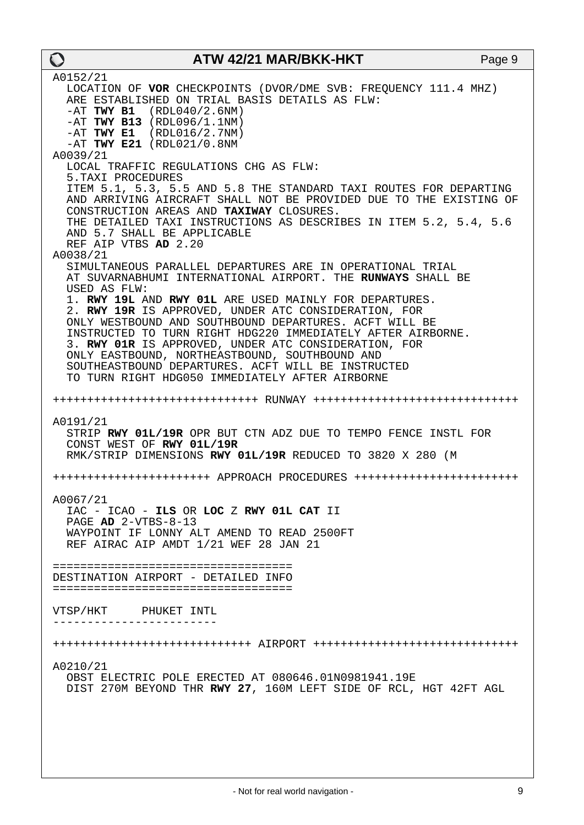A0152/21 LOCATION OF **VOR** CHECKPOINTS (DVOR/DME SVB: FREQUENCY 111.4 MHZ) ARE ESTABLISHED ON TRIAL BASIS DETAILS AS FLW: -AT **TWY B1** (RDL040/2.6NM) -AT **TWY B13** (RDL096/1.1NM) -AT **TWY E1** (RDL016/2.7NM) -AT **TWY E21** (RDL021/0.8NM A0039/21 LOCAL TRAFFIC REGULATIONS CHG AS FLW: 5.TAXI PROCEDURES ITEM 5.1, 5.3, 5.5 AND 5.8 THE STANDARD TAXI ROUTES FOR DEPARTING AND ARRIVING AIRCRAFT SHALL NOT BE PROVIDED DUE TO THE EXISTING OF CONSTRUCTION AREAS AND **TAXIWAY** CLOSURES. THE DETAILED TAXI INSTRUCTIONS AS DESCRIBES IN ITEM 5.2, 5.4, 5.6 AND 5.7 SHALL BE APPLICABLE REF AIP VTBS **AD** 2.20 A0038/21 SIMULTANEOUS PARALLEL DEPARTURES ARE IN OPERATIONAL TRIAL AT SUVARNABHUMI INTERNATIONAL AIRPORT. THE **RUNWAYS** SHALL BE USED AS FLW: 1. **RWY 19L** AND **RWY 01L** ARE USED MAINLY FOR DEPARTURES. 2. **RWY 19R** IS APPROVED, UNDER ATC CONSIDERATION, FOR ONLY WESTBOUND AND SOUTHBOUND DEPARTURES. ACFT WILL BE INSTRUCTED TO TURN RIGHT HDG220 IMMEDIATELY AFTER AIRBORNE. 3. **RWY 01R** IS APPROVED, UNDER ATC CONSIDERATION, FOR ONLY EASTBOUND, NORTHEASTBOUND, SOUTHBOUND AND SOUTHEASTBOUND DEPARTURES. ACFT WILL BE INSTRUCTED TO TURN RIGHT HDG050 IMMEDIATELY AFTER AIRBORNE ++++++++++++++++++++++++++++++ RUNWAY ++++++++++++++++++++++++++++++ A0191/21 STRIP **RWY 01L/19R** OPR BUT CTN ADZ DUE TO TEMPO FENCE INSTL FOR CONST WEST OF **RWY 01L/19R** RMK/STRIP DIMENSIONS **RWY 01L/19R** REDUCED TO 3820 X 280 (M +++++++++++++++++++++++ APPROACH PROCEDURES ++++++++++++++++++++++++ A0067/21 IAC - ICAO - **ILS** OR **LOC** Z **RWY 01L CAT** II PAGE **AD** 2-VTBS-8-13 WAYPOINT IF LONNY ALT AMEND TO READ 2500FT REF AIRAC AIP AMDT 1/21 WEF 28 JAN 21 =================================== DESTINATION AIRPORT - DETAILED INFO =================================== VTSP/HKT PHUKET INTL ------------------------ +++++++++++++++++++++++++++++ AIRPORT ++++++++++++++++++++++++++++++ A0210/21 OBST ELECTRIC POLE ERECTED AT 080646.01N0981941.19E DIST 270M BEYOND THR **RWY 27**, 160M LEFT SIDE OF RCL, HGT 42FT AGL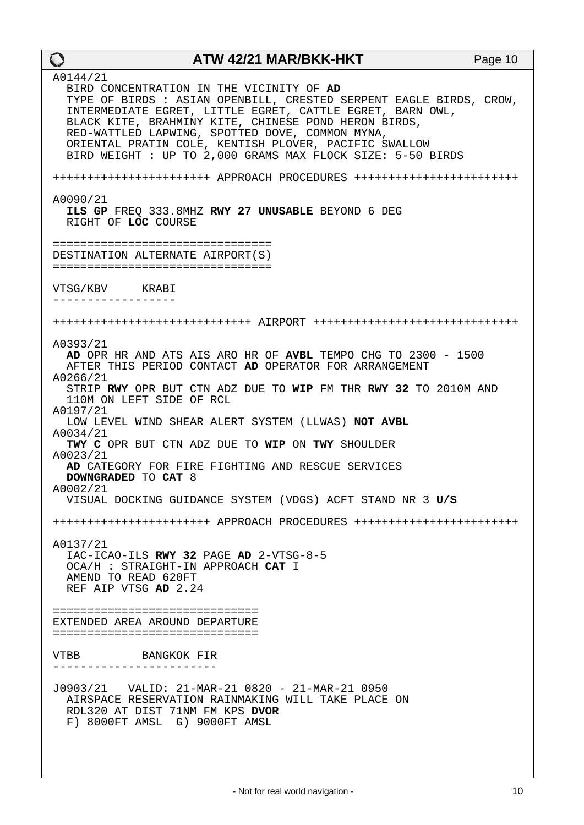| $\mathbf O$                                                                                                  | ATW 42/21 MAR/BKK-HKT                                                                                                                                                                                                                                                                                                                                                                                         | Page 10 |
|--------------------------------------------------------------------------------------------------------------|---------------------------------------------------------------------------------------------------------------------------------------------------------------------------------------------------------------------------------------------------------------------------------------------------------------------------------------------------------------------------------------------------------------|---------|
| A0144/21                                                                                                     | BIRD CONCENTRATION IN THE VICINITY OF AD<br>TYPE OF BIRDS : ASIAN OPENBILL, CRESTED SERPENT EAGLE BIRDS, CROW,<br>INTERMEDIATE EGRET, LITTLE EGRET, CATTLE EGRET, BARN OWL,<br>BLACK KITE, BRAHMINY KITE, CHINESE POND HERON BIRDS,<br>RED-WATTLED LAPWING, SPOTTED DOVE, COMMON MYNA,<br>ORIENTAL PRATIN COLE, KENTISH PLOVER, PACIFIC SWALLOW<br>BIRD WEIGHT : UP TO 2,000 GRAMS MAX FLOCK SIZE: 5-50 BIRDS |         |
|                                                                                                              | ++++++++++++++++++++++++ APPROACH PROCEDURES ++++++++++++++++++++++++++                                                                                                                                                                                                                                                                                                                                       |         |
| A0090/21<br>RIGHT OF LOC COURSE                                                                              | ILS GP FREQ 333.8MHZ RWY 27 UNUSABLE BEYOND 6 DEG                                                                                                                                                                                                                                                                                                                                                             |         |
| ==================================<br>DESTINATION ALTERNATE AIRPORT(S)<br>================================== |                                                                                                                                                                                                                                                                                                                                                                                                               |         |
| VTSG/KBV KRABI<br>-----------------                                                                          |                                                                                                                                                                                                                                                                                                                                                                                                               |         |
|                                                                                                              |                                                                                                                                                                                                                                                                                                                                                                                                               |         |
| A0393/21<br>A0266/21<br>110M ON LEFT SIDE OF RCL                                                             | AD OPR HR AND ATS AIS ARO HR OF AVBL TEMPO CHG TO 2300 - 1500<br>AFTER THIS PERIOD CONTACT AD OPERATOR FOR ARRANGEMENT<br>STRIP RWY OPR BUT CTN ADZ DUE TO WIP FM THR RWY 32 TO 2010M AND                                                                                                                                                                                                                     |         |
| A0197/21<br>A0034/21                                                                                         | LOW LEVEL WIND SHEAR ALERT SYSTEM (LLWAS) NOT AVBL                                                                                                                                                                                                                                                                                                                                                            |         |
| A0023/21                                                                                                     | TWY C OPR BUT CTN ADZ DUE TO WIP ON TWY SHOULDER                                                                                                                                                                                                                                                                                                                                                              |         |
| DOWNGRADED TO CAT 8<br>A0002/21                                                                              | AD CATEGORY FOR FIRE FIGHTING AND RESCUE SERVICES                                                                                                                                                                                                                                                                                                                                                             |         |
|                                                                                                              | VISUAL DOCKING GUIDANCE SYSTEM (VDGS) ACFT STAND NR 3 U/S                                                                                                                                                                                                                                                                                                                                                     |         |
|                                                                                                              | ++++++++++++++++++++++++ APPROACH PROCEDURES +++++++++++++++++++++++++++++++++++                                                                                                                                                                                                                                                                                                                              |         |
| A0137/21<br>OCA/H : STRAIGHT-IN APPROACH CAT I<br>AMEND TO READ 620FT<br>REF AIP VTSG AD 2.24                | IAC-ICAO-ILS RWY 32 PAGE AD 2-VTSG-8-5                                                                                                                                                                                                                                                                                                                                                                        |         |
| ================================<br>EXTENDED AREA AROUND DEPARTURE<br>================================       |                                                                                                                                                                                                                                                                                                                                                                                                               |         |
| VTBB BANGKOK FIR                                                                                             |                                                                                                                                                                                                                                                                                                                                                                                                               |         |
| RDL320 AT DIST 71NM FM KPS DVOR<br>F) 8000FT AMSL G) 9000FT AMSL                                             | AIRSPACE RESERVATION RAINMAKING WILL TAKE PLACE ON                                                                                                                                                                                                                                                                                                                                                            |         |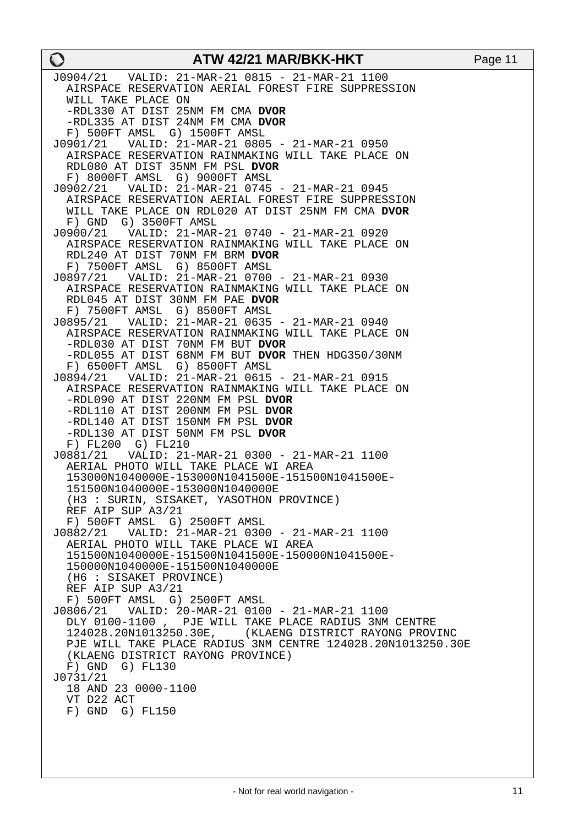| $\mathbf O$                                                           | ATW 42/21 MAR/BKK-HKT                                                                    | Page 11 |
|-----------------------------------------------------------------------|------------------------------------------------------------------------------------------|---------|
|                                                                       | J0904/21    VALID: 21-MAR-21    0815 - 21-MAR-21    1100                                 |         |
|                                                                       | AIRSPACE RESERVATION AERIAL FOREST FIRE SUPPRESSION                                      |         |
| WILL TAKE PLACE ON<br>-RDL330 AT DIST 25NM FM CMA DVOR                |                                                                                          |         |
| -RDL335 AT DIST 24NM FM CMA DVOR                                      |                                                                                          |         |
| F) 500FT AMSL G) 1500FT AMSL                                          |                                                                                          |         |
|                                                                       | J0901/21    VALID: 21-MAR-21    0805 - 21-MAR-21    0950                                 |         |
|                                                                       | AIRSPACE RESERVATION RAINMAKING WILL TAKE PLACE ON                                       |         |
| RDL080 AT DIST 35NM FM PSL DVOR<br>F) 8000FT AMSL G) 9000FT AMSL      |                                                                                          |         |
|                                                                       | J0902/21    VALID: 21-MAR-21    0745 - 21-MAR-21    0945                                 |         |
|                                                                       | AIRSPACE RESERVATION AERIAL FOREST FIRE SUPPRESSION                                      |         |
|                                                                       | WILL TAKE PLACE ON RDL020 AT DIST 25NM FM CMA DVOR                                       |         |
| F) GND G) 3500FT AMSL                                                 |                                                                                          |         |
|                                                                       | AIRSPACE RESERVATION RAINMAKING WILL TAKE PLACE ON                                       |         |
| RDL240 AT DIST 70NM FM BRM DVOR                                       |                                                                                          |         |
| F) 7500FT AMSL G) 8500FT AMSL                                         |                                                                                          |         |
|                                                                       |                                                                                          |         |
| RDL045 AT DIST 30NM FM PAE DVOR                                       | AIRSPACE RESERVATION RAINMAKING WILL TAKE PLACE ON                                       |         |
| F) 7500FT AMSL G) 8500FT AMSL                                         |                                                                                          |         |
|                                                                       | J0895/21    VALID: 21-MAR-21    0635 - 21-MAR-21    0940                                 |         |
|                                                                       | AIRSPACE RESERVATION RAINMAKING WILL TAKE PLACE ON                                       |         |
| -RDL030 AT DIST 70NM FM BUT DVOR                                      |                                                                                          |         |
| F) 6500FT AMSL G) 8500FT AMSL                                         | -RDL055 AT DIST 68NM FM BUT DVOR THEN HDG350/30NM                                        |         |
|                                                                       |                                                                                          |         |
|                                                                       | AIRSPACE RESERVATION RAINMAKING WILL TAKE PLACE ON                                       |         |
| -RDL090 AT DIST 220NM FM PSL DVOR                                     |                                                                                          |         |
| -RDL110 AT DIST 200NM FM PSL DVOR                                     |                                                                                          |         |
| -RDL140 AT DIST 150NM FM PSL DVOR<br>-RDL130 AT DIST 50NM FM PSL DVOR |                                                                                          |         |
| F) FL200 G) FL210                                                     |                                                                                          |         |
|                                                                       |                                                                                          |         |
|                                                                       | AERIAL PHOTO WILL TAKE PLACE WI AREA                                                     |         |
|                                                                       | 153000N1040000E-153000N1041500E-151500N1041500E-<br>151500N1040000E-153000N1040000E      |         |
|                                                                       | (H3 : SURIN, SISAKET, YASOTHON PROVINCE)                                                 |         |
| REF AIP SUP A3/21                                                     |                                                                                          |         |
| F) 500FT AMSL G) 2500FT AMSL                                          |                                                                                          |         |
|                                                                       | J0882/21    VALID: 21-MAR-21    0300 - 21-MAR-21    1100                                 |         |
|                                                                       | AERIAL PHOTO WILL TAKE PLACE WI AREA<br>151500N1040000E-151500N1041500E-150000N1041500E- |         |
| 150000N1040000E-151500N1040000E                                       |                                                                                          |         |
| (H6 : SISAKET PROVINCE)                                               |                                                                                          |         |
| REF AIP SUP A3/21                                                     |                                                                                          |         |
| F) 500FT AMSL G) 2500FT AMSL                                          |                                                                                          |         |
|                                                                       | DLY 0100-1100, PJE WILL TAKE PLACE RADIUS 3NM CENTRE                                     |         |
|                                                                       | 124028.20N1013250.30E, (KLAENG DISTRICT RAYONG PROVINC                                   |         |
|                                                                       | PJE WILL TAKE PLACE RADIUS 3NM CENTRE 124028.20N1013250.30E                              |         |
| (KLAENG DISTRICT RAYONG PROVINCE)                                     |                                                                                          |         |
| $F)$ GND G) $FL130$<br>J0731/21                                       |                                                                                          |         |
| 18 AND 23 0000-1100                                                   |                                                                                          |         |
| VT D22 ACT                                                            |                                                                                          |         |
| $F)$ GND G) $FL150$                                                   |                                                                                          |         |
|                                                                       |                                                                                          |         |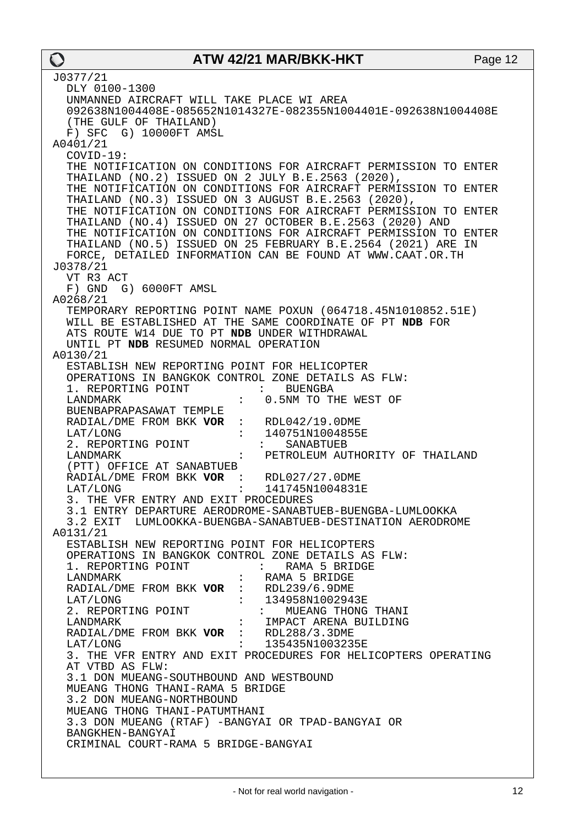| J0377/21                                                                              |
|---------------------------------------------------------------------------------------|
| DLY 0100-1300                                                                         |
| UNMANNED AIRCRAFT WILL TAKE PLACE WI AREA                                             |
| 092638N1004408E-085652N1014327E-082355N1004401E-092638N1004408E                       |
| (THE GULF OF THAILAND)                                                                |
| F) SFC G) 10000FT AMSL                                                                |
| A0401/21                                                                              |
| COVID-19:                                                                             |
| THE NOTIFICATION ON CONDITIONS FOR AIRCRAFT PERMISSION TO ENTER                       |
| THAILAND (NO.2) ISSUED ON 2 JULY B.E.2563 (2020),                                     |
| THE NOTIFICATION ON CONDITIONS FOR AIRCRAFT PERMISSION TO ENTER                       |
| THAILAND (NO.3) ISSUED ON 3 AUGUST B.E.2563 (2020),                                   |
| THE NOTIFICATION ON CONDITIONS FOR AIRCRAFT PERMISSION TO ENTER                       |
| THAILAND (NO.4) ISSUED ON 27 OCTOBER B.E.2563 (2020) AND                              |
| THE NOTIFICATION ON CONDITIONS FOR AIRCRAFT PERMISSION TO ENTER                       |
| THAILAND (NO.5) ISSUED ON 25 FEBRUARY B.E.2564 (2021) ARE IN                          |
| FORCE, DETAILED INFORMATION CAN BE FOUND AT WWW.CAAT.OR.TH                            |
| J0378/21                                                                              |
| VT R3 ACT                                                                             |
| F) GND G) 6000FT AMSL                                                                 |
| A0268/21                                                                              |
| TEMPORARY REPORTING POINT NAME POXUN (064718.45N1010852.51E)                          |
| WILL BE ESTABLISHED AT THE SAME COORDINATE OF PT NDB FOR                              |
|                                                                                       |
| ATS ROUTE W14 DUE TO PT NDB UNDER WITHDRAWAL<br>UNTIL PT NDB RESUMED NORMAL OPERATION |
|                                                                                       |
| A0130/21                                                                              |
| ESTABLISH NEW REPORTING POINT FOR HELICOPTER                                          |
| OPERATIONS IN BANGKOK CONTROL ZONE DETAILS AS FLW:                                    |
| 1. REPORTING POINT<br>$\mathbf{L}$<br><b>BUENGBA</b>                                  |
| 0.5NM TO THE WEST OF<br>LANDMARK<br>$\mathbf{L}$                                      |
| BUENBAPRAPASAWAT TEMPLE                                                               |
| RADIAL/DME FROM BKK VOR<br>: $RDL042/19.0DME$                                         |
| 140751N1004855E<br>LAT/LONG                                                           |
| 2. REPORTING POINT<br>SANABTUEB<br>$\mathbf{L} = \mathbf{L}$                          |
| LANDMARK<br>PETROLEUM AUTHORITY OF THAILAND                                           |
| (PTT) OFFICE AT SANABTUEB                                                             |
| RADIAL/DME FROM BKK VOR : RDL027/27.0DME                                              |
| LAT/LONG<br>141745N1004831E                                                           |
| 3. THE VFR ENTRY AND EXIT PROCEDURES                                                  |
| 3.1 ENTRY DEPARTURE AERODROME-SANABTUEB-BUENGBA-LUMLOOKKA                             |
| 3.2 EXIT LUMLOOKKA-BUENGBA-SANABTUEB-DESTINATION AERODROME                            |
| A0131/21                                                                              |
| ESTABLISH NEW REPORTING POINT FOR HELICOPTERS                                         |
| OPERATIONS IN BANGKOK CONTROL ZONE DETAILS AS FLW:                                    |
| 1. REPORTING POINT : RAMA 5 BRIDGE                                                    |
| RAMA 5 BRIDGE<br>LANDMARK                                                             |
| RADIAL/DME FROM BKK VOR : RDL239/6.9DME<br>LAT/LONG : 134958N1002943E                 |
|                                                                                       |
| 2. REPORTING POINT : MUEANG THONG THANI                                               |
| : IMPACT ARENA BUILDING<br>LANDMARK                                                   |
| RADIAL/DME FROM BKK VOR : RDL288/3.3DME                                               |
| : 135435N1003235E<br>LAT/LONG                                                         |
| 3. THE VFR ENTRY AND EXIT PROCEDURES FOR HELICOPTERS OPERATING                        |
| AT VTBD AS FLW:                                                                       |
| 3.1 DON MUEANG-SOUTHBOUND AND WESTBOUND                                               |
| MUEANG THONG THANI-RAMA 5 BRIDGE                                                      |
| 3.2 DON MUEANG-NORTHBOUND                                                             |
| MUEANG THONG THANI-PATUMTHANI                                                         |
| 3.3 DON MUEANG (RTAF) -BANGYAI OR TPAD-BANGYAI OR                                     |
| BANGKHEN-BANGYAI                                                                      |
| CRIMINAL COURT-RAMA 5 BRIDGE-BANGYAI                                                  |
|                                                                                       |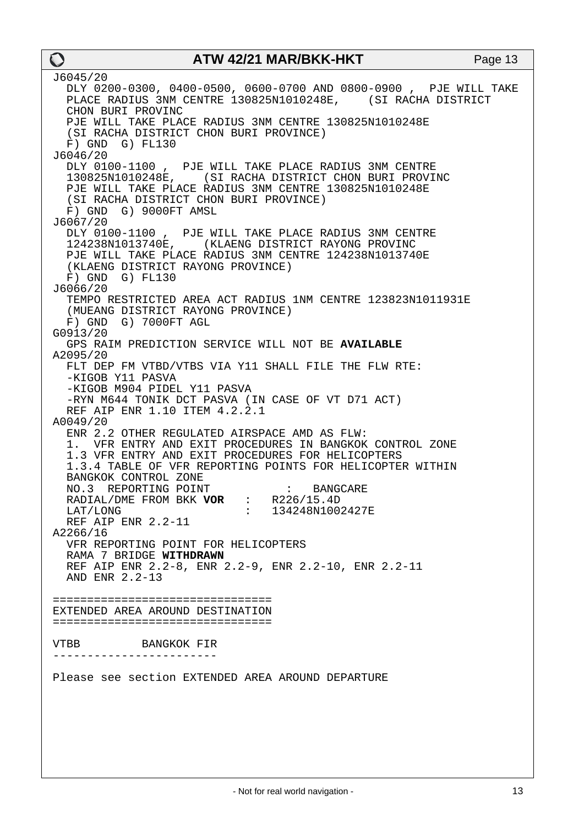J6045/20 DLY 0200-0300, 0400-0500, 0600-0700 AND 0800-0900 , PJE WILL TAKE PLACE RADIUS 3NM CENTRE 130825N1010248E, (SI RACHA DISTRICT CHON BURI PROVINC PJE WILL TAKE PLACE RADIUS 3NM CENTRE 130825N1010248E (SI RACHA DISTRICT CHON BURI PROVINCE) F) GND G) FL130 J6046/20 DLY 0100-1100 , PJE WILL TAKE PLACE RADIUS 3NM CENTRE 130825N1010248E, (SI RACHA DISTRICT CHON BURI PROVINC PJE WILL TAKE PLACE RADIUS 3NM CENTRE 130825N1010248E (SI RACHA DISTRICT CHON BURI PROVINCE) F) GND G) 9000FT AMSL J6067/20 DLY 0100-1100, PJE WILL TAKE PLACE RADIUS 3NM CENTRE<br>124238N1013740E, (KLAENG DISTRICT RAYONG PROVINC KLAENG DISTRICT RAYONG PROVINC PJE WILL TAKE PLACE RADIUS 3NM CENTRE 124238N1013740E (KLAENG DISTRICT RAYONG PROVINCE) F) GND G) FL130 J6066/20 TEMPO RESTRICTED AREA ACT RADIUS 1NM CENTRE 123823N1011931E (MUEANG DISTRICT RAYONG PROVINCE) F) GND G) 7000FT AGL G0913/20 GPS RAIM PREDICTION SERVICE WILL NOT BE **AVAILABLE** A2095/20 FLT DEP FM VTBD/VTBS VIA Y11 SHALL FILE THE FLW RTE: -KIGOB Y11 PASVA -KIGOB M904 PIDEL Y11 PASVA -RYN M644 TONIK DCT PASVA (IN CASE OF VT D71 ACT) REF AIP ENR 1.10 ITEM 4.2.2.1 A0049/20 ENR 2.2 OTHER REGULATED AIRSPACE AMD AS FLW: 1. VFR ENTRY AND EXIT PROCEDURES IN BANGKOK CONTROL ZONE 1.3 VFR ENTRY AND EXIT PROCEDURES FOR HELICOPTERS 1.3.4 TABLE OF VFR REPORTING POINTS FOR HELICOPTER WITHIN BANGKOK CONTROL ZONE<br>NO.3 REPORTING POINT NO.3 REPORTING POINT : BANGCARE RADIAL/DME FROM BKK **VOR** : R226/15.4D LAT/LONG : 134248N1002427E REF AIP ENR 2.2-11 A2266/16 VFR REPORTING POINT FOR HELICOPTERS RAMA 7 BRIDGE **WITHDRAWN** REF AIP ENR 2.2-8, ENR 2.2-9, ENR 2.2-10, ENR 2.2-11 AND ENR 2.2-13 ================================ EXTENDED AREA AROUND DESTINATION ================================ VTBB BANGKOK FIR ------------------------ Please see section EXTENDED AREA AROUND DEPARTURE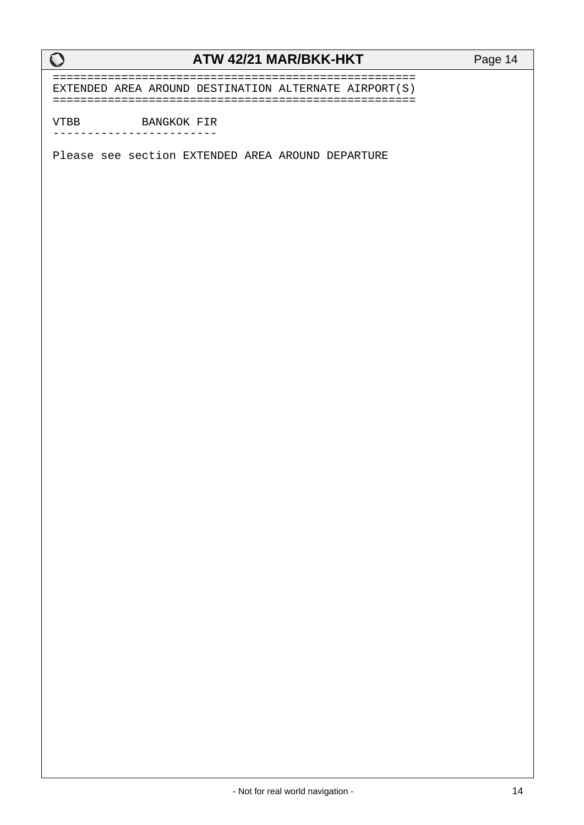===================================================== EXTENDED AREA AROUND DESTINATION ALTERNATE AIRPORT(S) =====================================================

VTBB BANGKOK FIR

------------------------

Please see section EXTENDED AREA AROUND DEPARTURE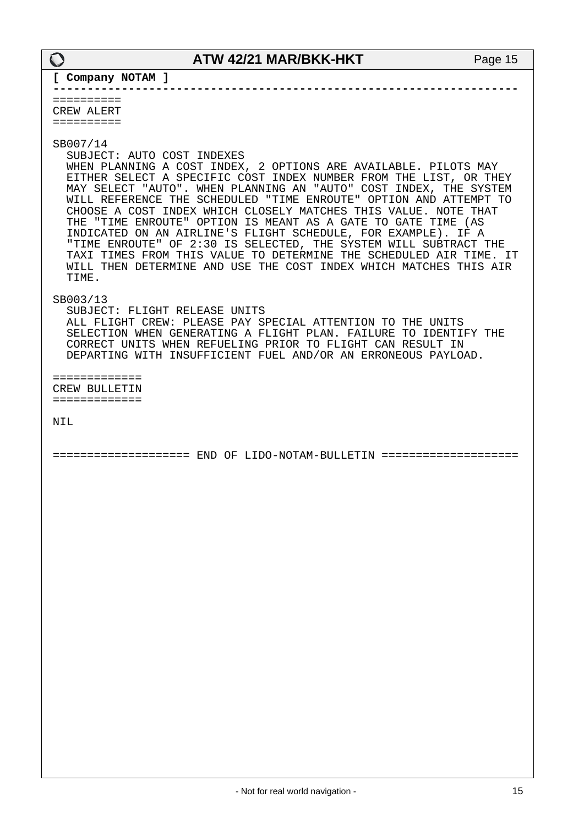**--------------------------------------------------------------------**

========== CREW ALERT ==========

SB007/14

SUBJECT: AUTO COST INDEXES

 WHEN PLANNING A COST INDEX, 2 OPTIONS ARE AVAILABLE. PILOTS MAY EITHER SELECT A SPECIFIC COST INDEX NUMBER FROM THE LIST, OR THEY MAY SELECT "AUTO". WHEN PLANNING AN "AUTO" COST INDEX, THE SYSTEM WILL REFERENCE THE SCHEDULED "TIME ENROUTE" OPTION AND ATTEMPT TO CHOOSE A COST INDEX WHICH CLOSELY MATCHES THIS VALUE. NOTE THAT THE "TIME ENROUTE" OPTION IS MEANT AS A GATE TO GATE TIME (AS INDICATED ON AN AIRLINE'S FLIGHT SCHEDULE, FOR EXAMPLE). IF A "TIME ENROUTE" OF 2:30 IS SELECTED, THE SYSTEM WILL SUBTRACT THE TAXI TIMES FROM THIS VALUE TO DETERMINE THE SCHEDULED AIR TIME. IT WILL THEN DETERMINE AND USE THE COST INDEX WHICH MATCHES THIS AIR TIME.

SB003/13

 SUBJECT: FLIGHT RELEASE UNITS ALL FLIGHT CREW: PLEASE PAY SPECIAL ATTENTION TO THE UNITS SELECTION WHEN GENERATING A FLIGHT PLAN. FAILURE TO IDENTIFY THE CORRECT UNITS WHEN REFUELING PRIOR TO FLIGHT CAN RESULT IN DEPARTING WITH INSUFFICIENT FUEL AND/OR AN ERRONEOUS PAYLOAD.

============= CREW BULLETIN =============

NIL

==================== END OF LIDO-NOTAM-BULLETIN ====================